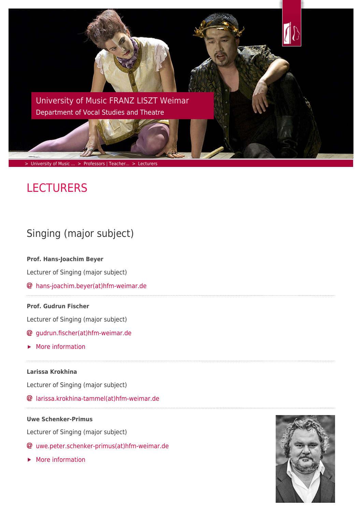

# **LECTURERS**

# Singing (major subject)

**Prof. Hans-Joachim Beyer**

Lecturer of Singing (major subject)

[hans-joachim.beyer\(at\)hfm-weimar.de](https://www.hfm-weimar.de/javascript:linkTo_UnCryptMailto()

# **Prof. Gudrun Fischer**

Lecturer of Singing (major subject)

- [gudrun.fischer\(at\)hfm-weimar.de](https://www.hfm-weimar.de/javascript:linkTo_UnCryptMailto()
- [More information](https://www.hfm-weimar.de/the-department-of-vocal-studies-and-theatre/professors-teachers/detailansicht/?tx_jobase_pi3%5BjoOrgaDetail%5D=608&tx_jobase_pi3%5BjoRefererId%5D=1124&tx_jobase_pi3%5BjoAlternateMail%5D=0&tx_jobase_pi3%5BjoAlternateAmt%5D=0&tx_jobase_pi3%5Baction%5D=orgadetail&tx_jobase_pi3%5Bcontroller%5D=Elements&cHash=919db7b52f7098b5455bb74720531adf&L=1)

# **Larissa Krokhina**

Lecturer of Singing (major subject)

[larissa.krokhina-tammel\(at\)hfm-weimar.de](https://www.hfm-weimar.de/javascript:linkTo_UnCryptMailto()

# **Uwe Schenker-Primus**

Lecturer of Singing (major subject)

- [uwe.peter.schenker-primus\(at\)hfm-weimar.de](https://www.hfm-weimar.de/javascript:linkTo_UnCryptMailto()
- [More information](https://www.hfm-weimar.de/the-department-of-vocal-studies-and-theatre/professors-teachers/detailansicht/?L=1&tx_jobase_pi3%5BjoOrgaDetail%5D=906&tx_jobase_pi3%5BjoRefererId%5D=1124&tx_jobase_pi3%5BjoAlternateMail%5D=0&tx_jobase_pi3%5BjoAlternateAmt%5D=0&tx_jobase_pi3%5Baction%5D=orgadetail&tx_jobase_pi3%5Bcontroller%5D=Elements&cHash=1a46c144526a3b75185dba32d48cef42)

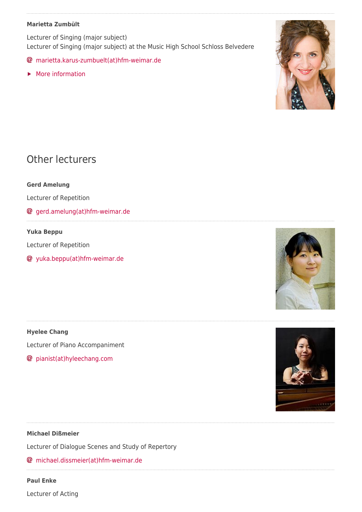# **Marietta Zumbült**

Lecturer of Singing (major subject) Lecturer of Singing (major subject) at the Music High School Schloss Belvedere

- [marietta.karus-zumbuelt\(at\)hfm-weimar.de](https://www.hfm-weimar.de/javascript:linkTo_UnCryptMailto()
- **[More information](https://www.hfm-weimar.de/the-department-of-vocal-studies-and-theatre/professors-teachers/detailansicht/?L=1&tx_jobase_pi3%5BjoOrgaDetail%5D=584&tx_jobase_pi3%5BjoRefererId%5D=1124&tx_jobase_pi3%5BjoAlternateMail%5D=0&tx_jobase_pi3%5BjoAlternateAmt%5D=0&tx_jobase_pi3%5Baction%5D=orgadetail&tx_jobase_pi3%5Bcontroller%5D=Elements&cHash=79ddace9514e5751c5f7169cf23b8e1b)**



# Other lecturers

**Gerd Amelung**

Lecturer of Repetition

[gerd.amelung\(at\)hfm-weimar.de](https://www.hfm-weimar.de/javascript:linkTo_UnCryptMailto()

# **Yuka Beppu**

Lecturer of Repetition

[yuka.beppu\(at\)hfm-weimar.de](https://www.hfm-weimar.de/javascript:linkTo_UnCryptMailto()

**Hyelee Chang** Lecturer of Piano Accompaniment

[pianist\(at\)hyleechang.com](https://www.hfm-weimar.de/javascript:linkTo_UnCryptMailto()





# **Michael Dißmeier**

Lecturer of Dialogue Scenes and Study of Repertory

[michael.dissmeier\(at\)hfm-weimar.de](https://www.hfm-weimar.de/javascript:linkTo_UnCryptMailto()

#### **Paul Enke**

Lecturer of Acting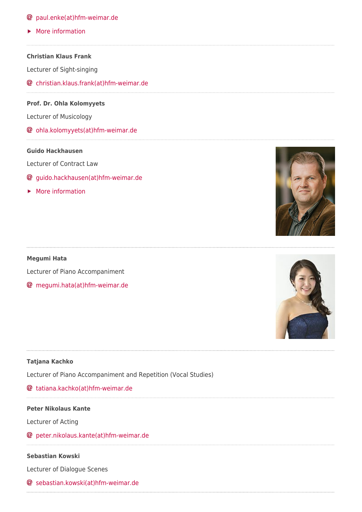# [paul.enke\(at\)hfm-weimar.de](https://www.hfm-weimar.de/javascript:linkTo_UnCryptMailto()

[More information](https://www.hfm-weimar.de/the-department-of-vocal-studies-and-theatre/professors-teachers/detailansicht/?L=1&tx_jobase_pi3%5BjoOrgaDetail%5D=649&tx_jobase_pi3%5BjoRefererId%5D=1124&tx_jobase_pi3%5BjoAlternateMail%5D=0&tx_jobase_pi3%5BjoAlternateAmt%5D=0&tx_jobase_pi3%5Baction%5D=orgadetail&tx_jobase_pi3%5Bcontroller%5D=Elements&cHash=7693b4517150a1d88a374ee5ad2eafa5)

**Christian Klaus Frank**

Lecturer of Sight-singing

[christian.klaus.frank\(at\)hfm-weimar.de](https://www.hfm-weimar.de/javascript:linkTo_UnCryptMailto()

#### **Prof. Dr. Ohla Kolomyyets**

Lecturer of Musicology

[ohla.kolomyyets\(at\)hfm-weimar.de](https://www.hfm-weimar.de/javascript:linkTo_UnCryptMailto()

#### **Guido Hackhausen**

Lecturer of Contract Law

- [guido.hackhausen\(at\)hfm-weimar.de](https://www.hfm-weimar.de/javascript:linkTo_UnCryptMailto()
- [More information](https://www.hfm-weimar.de/the-department-of-vocal-studies-and-theatre/professors-teachers/detailansicht/?L=1&tx_jobase_pi3%5BjoOrgaDetail%5D=377&tx_jobase_pi3%5BjoRefererId%5D=1124&tx_jobase_pi3%5BjoAlternateMail%5D=0&tx_jobase_pi3%5BjoAlternateAmt%5D=0&tx_jobase_pi3%5Baction%5D=orgadetail&tx_jobase_pi3%5Bcontroller%5D=Elements&cHash=cbcf42791e7d14a0e80ea25a7dbd4d6d)

#### **Megumi Hata**

Lecturer of Piano Accompaniment

[megumi.hata\(at\)hfm-weimar.de](https://www.hfm-weimar.de/javascript:linkTo_UnCryptMailto()

#### **Tatjana Kachko**

Lecturer of Piano Accompaniment and Repetition (Vocal Studies)

# [tatiana.kachko\(at\)hfm-weimar.de](https://www.hfm-weimar.de/javascript:linkTo_UnCryptMailto()

#### **Peter Nikolaus Kante**

Lecturer of Acting

[peter.nikolaus.kante\(at\)hfm-weimar.de](https://www.hfm-weimar.de/javascript:linkTo_UnCryptMailto()

#### **Sebastian Kowski**

Lecturer of Dialogue Scenes

[sebastian.kowski\(at\)hfm-weimar.de](https://www.hfm-weimar.de/javascript:linkTo_UnCryptMailto()